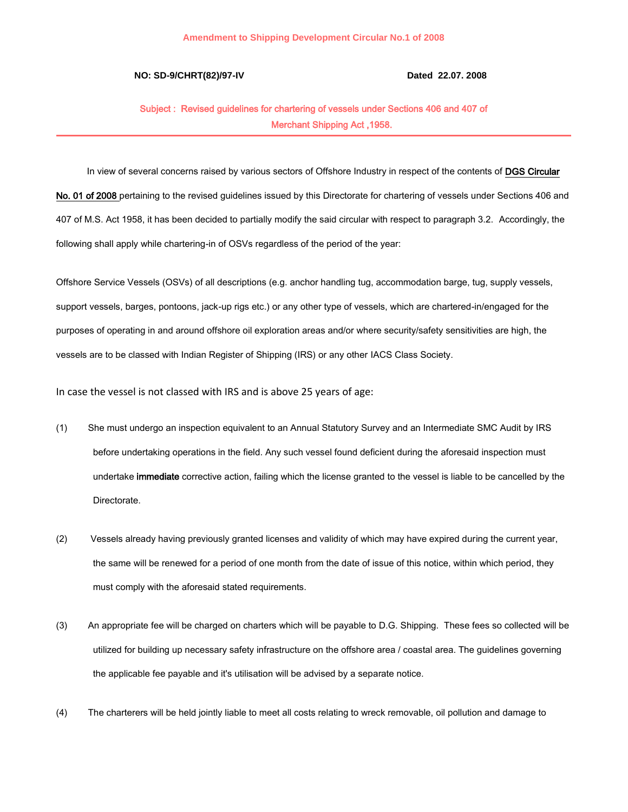## **NO: SD-9/CHRT(82)/97-IV Dated 22.07. 2008**

## Subject : Revised guidelines for chartering of vessels under Sections 406 and 407 of Merchant Shipping Act ,1958.

In view of several concerns raised by various sectors of Offshore Industry in respect of the contents of DGS Circular No. 01 of 2008 pertaining to the revised guidelines issued by this Directorate for chartering of vessels under Sections 406 and 407 of M.S. Act 1958, it has been decided to partially modify the said circular with respect to paragraph 3.2. Accordingly, the

following shall apply while chartering-in of OSVs regardless of the period of the year:

Offshore Service Vessels (OSVs) of all descriptions (e.g. anchor handling tug, accommodation barge, tug, supply vessels, support vessels, barges, pontoons, jack-up rigs etc.) or any other type of vessels, which are chartered-in/engaged for the purposes of operating in and around offshore oil exploration areas and/or where security/safety sensitivities are high, the vessels are to be classed with Indian Register of Shipping (IRS) or any other IACS Class Society.

In case the vessel is not classed with IRS and is above 25 years of age:

- (1) She must undergo an inspection equivalent to an Annual Statutory Survey and an Intermediate SMC Audit by IRS before undertaking operations in the field. Any such vessel found deficient during the aforesaid inspection must undertake immediate corrective action, failing which the license granted to the vessel is liable to be cancelled by the Directorate.
- (2) Vessels already having previously granted licenses and validity of which may have expired during the current year, the same will be renewed for a period of one month from the date of issue of this notice, within which period, they must comply with the aforesaid stated requirements.
- (3) An appropriate fee will be charged on charters which will be payable to D.G. Shipping. These fees so collected will be utilized for building up necessary safety infrastructure on the offshore area / coastal area. The guidelines governing the applicable fee payable and it's utilisation will be advised by a separate notice.
- (4) The charterers will be held jointly liable to meet all costs relating to wreck removable, oil pollution and damage to